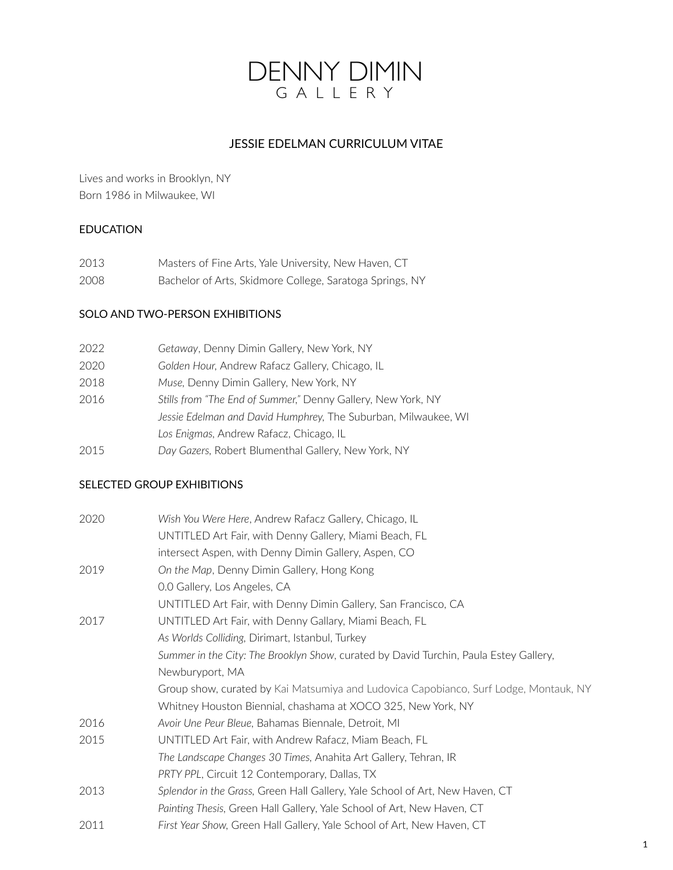# DENNY DIMIN GALLERY

# JESSIE EDELMAN CURRICULUM VITAE

Lives and works in Brooklyn, NY Born 1986 in Milwaukee, WI

## EDUCATION

| 2013 | Masters of Fine Arts, Yale University, New Haven, CT     |
|------|----------------------------------------------------------|
| 2008 | Bachelor of Arts, Skidmore College, Saratoga Springs, NY |

## SOLO AND TWO-PERSON EXHIBITIONS

| 2022 | Getaway, Denny Dimin Gallery, New York, NY                     |
|------|----------------------------------------------------------------|
| 2020 | Golden Hour, Andrew Rafacz Gallery, Chicago, IL                |
| 2018 | Muse, Denny Dimin Gallery, New York, NY                        |
| 2016 | Stills from "The End of Summer," Denny Gallery, New York, NY   |
|      | Jessie Edelman and David Humphrey, The Suburban, Milwaukee, WI |
|      | Los Enigmas, Andrew Rafacz, Chicago, IL                        |
| 2015 | Day Gazers, Robert Blumenthal Gallery, New York, NY            |

## SELECTED GROUP EXHIBITIONS

| 2020 | Wish You Were Here, Andrew Rafacz Gallery, Chicago, IL                                |
|------|---------------------------------------------------------------------------------------|
|      | UNTITLED Art Fair, with Denny Gallery, Miami Beach, FL                                |
|      | intersect Aspen, with Denny Dimin Gallery, Aspen, CO                                  |
| 2019 | On the Map, Denny Dimin Gallery, Hong Kong                                            |
|      | 0.0 Gallery, Los Angeles, CA                                                          |
|      | UNTITLED Art Fair, with Denny Dimin Gallery, San Francisco, CA                        |
| 2017 | UNTITLED Art Fair, with Denny Gallary, Miami Beach, FL                                |
|      | As Worlds Colliding, Dirimart, Istanbul, Turkey                                       |
|      | Summer in the City: The Brooklyn Show, curated by David Turchin, Paula Estey Gallery, |
|      | Newburyport, MA                                                                       |
|      | Group show, curated by Kai Matsumiya and Ludovica Capobianco, Surf Lodge, Montauk, NY |
|      | Whitney Houston Biennial, chashama at XOCO 325, New York, NY                          |
| 2016 | Avoir Une Peur Bleue, Bahamas Biennale, Detroit, MI                                   |
| 2015 | UNTITLED Art Fair, with Andrew Rafacz, Miam Beach, FL                                 |
|      | The Landscape Changes 30 Times, Anahita Art Gallery, Tehran, IR                       |
|      | PRTY PPL, Circuit 12 Contemporary, Dallas, TX                                         |
| 2013 | Splendor in the Grass, Green Hall Gallery, Yale School of Art, New Haven, CT          |
|      | Painting Thesis, Green Hall Gallery, Yale School of Art, New Haven, CT                |
| 2011 | First Year Show, Green Hall Gallery, Yale School of Art, New Haven, CT                |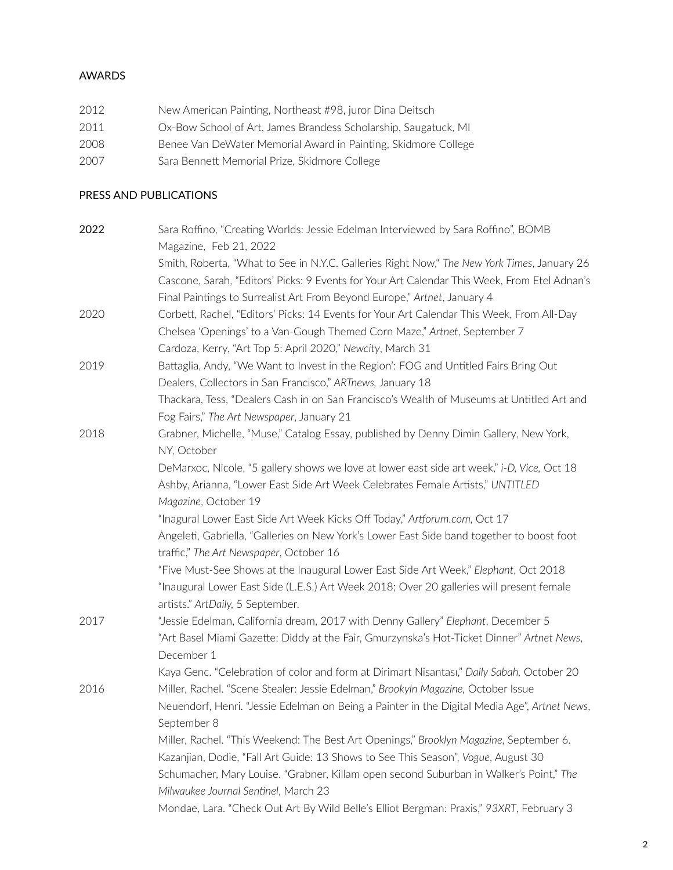#### AWARDS

| 2012 | New American Painting, Northeast #98, juror Dina Deitsch        |
|------|-----------------------------------------------------------------|
| 2011 | Ox-Bow School of Art, James Brandess Scholarship, Saugatuck, MI |
| 2008 | Benee Van DeWater Memorial Award in Painting, Skidmore College  |
| 2007 | Sara Bennett Memorial Prize, Skidmore College                   |

#### PRESS AND PUBLICATIONS

| 2022 | Sara Roffino, "Creating Worlds: Jessie Edelman Interviewed by Sara Roffino", BOMB            |
|------|----------------------------------------------------------------------------------------------|
|      | Magazine, Feb 21, 2022                                                                       |
|      | Smith, Roberta, "What to See in N.Y.C. Galleries Right Now," The New York Times, January 26  |
|      | Cascone, Sarah, "Editors' Picks: 9 Events for Your Art Calendar This Week, From Etel Adnan's |
|      | Final Paintings to Surrealist Art From Beyond Europe," Artnet, January 4                     |
| 2020 | Corbett, Rachel, "Editors' Picks: 14 Events for Your Art Calendar This Week, From All-Day    |
|      | Chelsea 'Openings' to a Van-Gough Themed Corn Maze," Artnet, September 7                     |
|      | Cardoza, Kerry, "Art Top 5: April 2020," Newcity, March 31                                   |
| 2019 | Battaglia, Andy, "We Want to Invest in the Region': FOG and Untitled Fairs Bring Out         |
|      | Dealers, Collectors in San Francisco," ARTnews, January 18                                   |
|      | Thackara, Tess, "Dealers Cash in on San Francisco's Wealth of Museums at Untitled Art and    |
|      | Fog Fairs," The Art Newspaper, January 21                                                    |
| 2018 | Grabner, Michelle, "Muse," Catalog Essay, published by Denny Dimin Gallery, New York,        |
|      | NY, October                                                                                  |
|      | DeMarxoc, Nicole, "5 gallery shows we love at lower east side art week," i-D, Vice, Oct 18   |
|      | Ashby, Arianna, "Lower East Side Art Week Celebrates Female Artists," UNTITLED               |
|      | Magazine, October 19                                                                         |
|      | "Inagural Lower East Side Art Week Kicks Off Today," Artforum.com, Oct 17                    |
|      | Angeleti, Gabriella, "Galleries on New York's Lower East Side band together to boost foot    |
|      | traffic," The Art Newspaper, October 16                                                      |
|      | "Five Must-See Shows at the Inaugural Lower East Side Art Week," Elephant, Oct 2018          |
|      | "Inaugural Lower East Side (L.E.S.) Art Week 2018; Over 20 galleries will present female     |
|      | artists." ArtDaily, 5 September.                                                             |
| 2017 | "Jessie Edelman, California dream, 2017 with Denny Gallery" Elephant, December 5             |
|      | "Art Basel Miami Gazette: Diddy at the Fair, Gmurzynska's Hot-Ticket Dinner" Artnet News,    |
|      | December 1                                                                                   |
|      | Kaya Genc. "Celebration of color and form at Dirimart Nisantası," Daily Sabah, October 20    |
| 2016 | Miller, Rachel. "Scene Stealer: Jessie Edelman," Brookyln Magazine, October Issue            |
|      | Neuendorf, Henri. "Jessie Edelman on Being a Painter in the Digital Media Age", Artnet News, |
|      | September 8                                                                                  |
|      | Miller, Rachel. "This Weekend: The Best Art Openings," Brooklyn Magazine, September 6.       |
|      | Kazanjian, Dodie, "Fall Art Guide: 13 Shows to See This Season", Vogue, August 30            |
|      | Schumacher, Mary Louise. "Grabner, Killam open second Suburban in Walker's Point," The       |
|      | Milwaukee Journal Sentinel, March 23                                                         |
|      | Mondae, Lara. "Check Out Art By Wild Belle's Elliot Bergman: Praxis," 93XRT, February 3      |